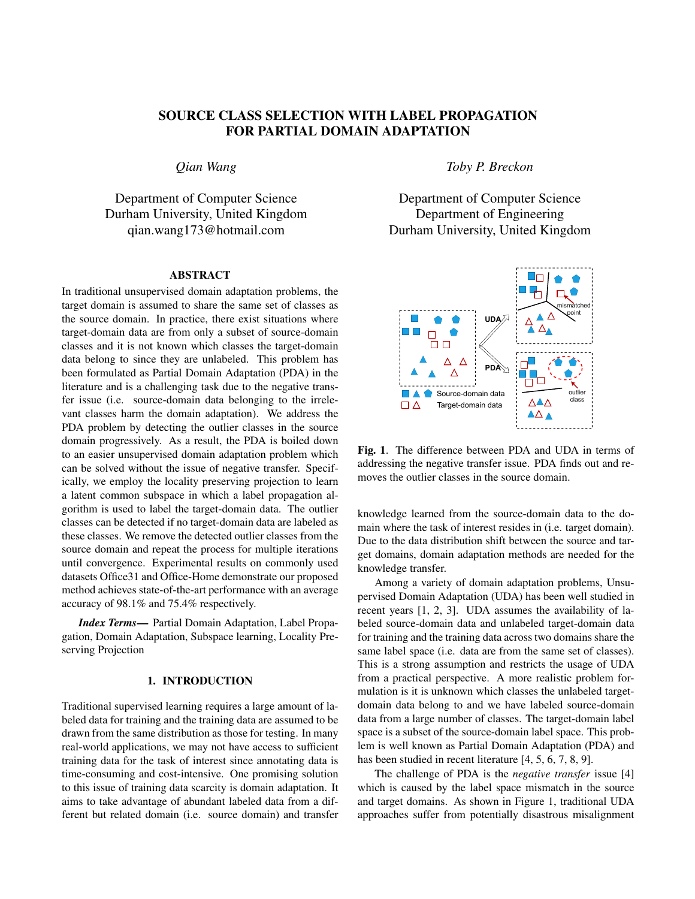# SOURCE CLASS SELECTION WITH LABEL PROPAGATION FOR PARTIAL DOMAIN ADAPTATION

*Qian Wang*

Department of Computer Science Durham University, United Kingdom qian.wang173@hotmail.com

### ABSTRACT

In traditional unsupervised domain adaptation problems, the target domain is assumed to share the same set of classes as the source domain. In practice, there exist situations where target-domain data are from only a subset of source-domain classes and it is not known which classes the target-domain data belong to since they are unlabeled. This problem has been formulated as Partial Domain Adaptation (PDA) in the literature and is a challenging task due to the negative transfer issue (i.e. source-domain data belonging to the irrelevant classes harm the domain adaptation). We address the PDA problem by detecting the outlier classes in the source domain progressively. As a result, the PDA is boiled down to an easier unsupervised domain adaptation problem which can be solved without the issue of negative transfer. Specifically, we employ the locality preserving projection to learn a latent common subspace in which a label propagation algorithm is used to label the target-domain data. The outlier classes can be detected if no target-domain data are labeled as these classes. We remove the detected outlier classes from the source domain and repeat the process for multiple iterations until convergence. Experimental results on commonly used datasets Office31 and Office-Home demonstrate our proposed method achieves state-of-the-art performance with an average accuracy of 98.1% and 75.4% respectively.

*Index Terms*— Partial Domain Adaptation, Label Propagation, Domain Adaptation, Subspace learning, Locality Preserving Projection

# 1. INTRODUCTION

Traditional supervised learning requires a large amount of labeled data for training and the training data are assumed to be drawn from the same distribution as those for testing. In many real-world applications, we may not have access to sufficient training data for the task of interest since annotating data is time-consuming and cost-intensive. One promising solution to this issue of training data scarcity is domain adaptation. It aims to take advantage of abundant labeled data from a different but related domain (i.e. source domain) and transfer *Toby P. Breckon*

Department of Computer Science Department of Engineering Durham University, United Kingdom



Fig. 1. The difference between PDA and UDA in terms of addressing the negative transfer issue. PDA finds out and removes the outlier classes in the source domain.

knowledge learned from the source-domain data to the domain where the task of interest resides in (i.e. target domain). Due to the data distribution shift between the source and target domains, domain adaptation methods are needed for the knowledge transfer.

Among a variety of domain adaptation problems, Unsupervised Domain Adaptation (UDA) has been well studied in recent years [1, 2, 3]. UDA assumes the availability of labeled source-domain data and unlabeled target-domain data for training and the training data across two domains share the same label space (i.e. data are from the same set of classes). This is a strong assumption and restricts the usage of UDA from a practical perspective. A more realistic problem formulation is it is unknown which classes the unlabeled targetdomain data belong to and we have labeled source-domain data from a large number of classes. The target-domain label space is a subset of the source-domain label space. This problem is well known as Partial Domain Adaptation (PDA) and has been studied in recent literature [4, 5, 6, 7, 8, 9].

The challenge of PDA is the *negative transfer* issue [4] which is caused by the label space mismatch in the source and target domains. As shown in Figure 1, traditional UDA approaches suffer from potentially disastrous misalignment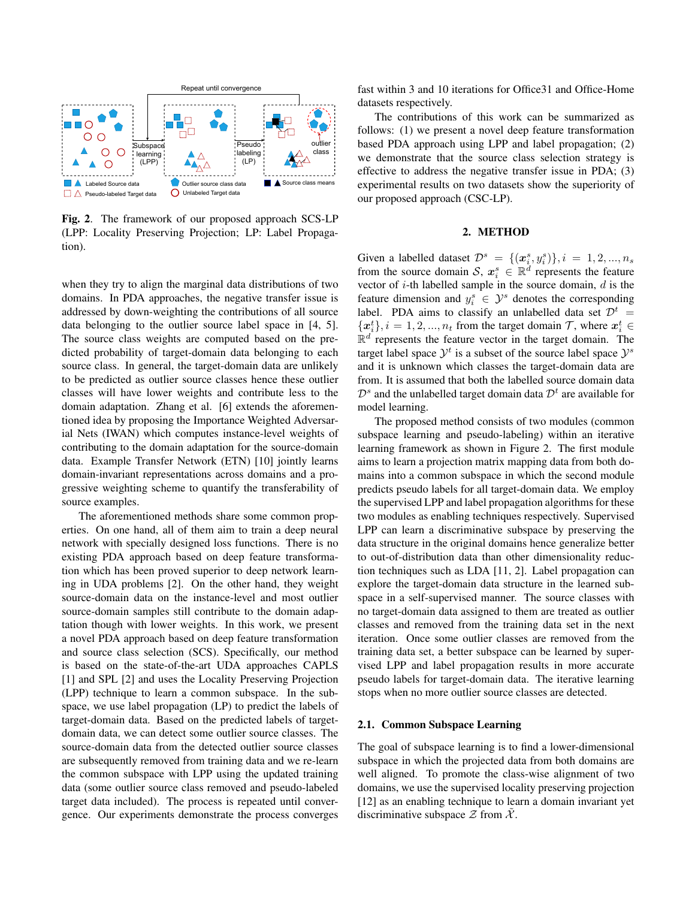

Fig. 2. The framework of our proposed approach SCS-LP (LPP: Locality Preserving Projection; LP: Label Propagation).

when they try to align the marginal data distributions of two domains. In PDA approaches, the negative transfer issue is addressed by down-weighting the contributions of all source data belonging to the outlier source label space in [4, 5]. The source class weights are computed based on the predicted probability of target-domain data belonging to each source class. In general, the target-domain data are unlikely to be predicted as outlier source classes hence these outlier classes will have lower weights and contribute less to the domain adaptation. Zhang et al. [6] extends the aforementioned idea by proposing the Importance Weighted Adversarial Nets (IWAN) which computes instance-level weights of contributing to the domain adaptation for the source-domain data. Example Transfer Network (ETN) [10] jointly learns domain-invariant representations across domains and a progressive weighting scheme to quantify the transferability of source examples.

The aforementioned methods share some common properties. On one hand, all of them aim to train a deep neural network with specially designed loss functions. There is no existing PDA approach based on deep feature transformation which has been proved superior to deep network learning in UDA problems [2]. On the other hand, they weight source-domain data on the instance-level and most outlier source-domain samples still contribute to the domain adaptation though with lower weights. In this work, we present a novel PDA approach based on deep feature transformation and source class selection (SCS). Specifically, our method is based on the state-of-the-art UDA approaches CAPLS [1] and SPL [2] and uses the Locality Preserving Projection (LPP) technique to learn a common subspace. In the subspace, we use label propagation (LP) to predict the labels of target-domain data. Based on the predicted labels of targetdomain data, we can detect some outlier source classes. The source-domain data from the detected outlier source classes are subsequently removed from training data and we re-learn the common subspace with LPP using the updated training data (some outlier source class removed and pseudo-labeled target data included). The process is repeated until convergence. Our experiments demonstrate the process converges

fast within 3 and 10 iterations for Office31 and Office-Home datasets respectively.

The contributions of this work can be summarized as follows: (1) we present a novel deep feature transformation based PDA approach using LPP and label propagation; (2) we demonstrate that the source class selection strategy is effective to address the negative transfer issue in PDA; (3) experimental results on two datasets show the superiority of our proposed approach (CSC-LP).

# 2. METHOD

Given a labelled dataset  $\mathcal{D}^s = \{(\boldsymbol{x}_i^s, y_i^s)\}, i = 1, 2, ..., n_s$ from the source domain S,  $x_i^s \in \mathbb{R}^d$  represents the feature vector of  $i$ -th labelled sample in the source domain,  $d$  is the feature dimension and  $y_i^s \in \mathcal{Y}^s$  denotes the corresponding label. PDA aims to classify an unlabelled data set  $\mathcal{D}^t$  =  ${x_i^t}, i = 1, 2, ..., n_t$  from the target domain  $\mathcal{T}$ , where  $x_i^t \in$  $\mathbb{R}^d$  represents the feature vector in the target domain. The target label space  $\mathcal{Y}^t$  is a subset of the source label space  $\mathcal{Y}^s$ and it is unknown which classes the target-domain data are from. It is assumed that both the labelled source domain data  $\mathcal{D}^s$  and the unlabelled target domain data  $\mathcal{D}^t$  are available for model learning.

The proposed method consists of two modules (common subspace learning and pseudo-labeling) within an iterative learning framework as shown in Figure 2. The first module aims to learn a projection matrix mapping data from both domains into a common subspace in which the second module predicts pseudo labels for all target-domain data. We employ the supervised LPP and label propagation algorithms for these two modules as enabling techniques respectively. Supervised LPP can learn a discriminative subspace by preserving the data structure in the original domains hence generalize better to out-of-distribution data than other dimensionality reduction techniques such as LDA [11, 2]. Label propagation can explore the target-domain data structure in the learned subspace in a self-supervised manner. The source classes with no target-domain data assigned to them are treated as outlier classes and removed from the training data set in the next iteration. Once some outlier classes are removed from the training data set, a better subspace can be learned by supervised LPP and label propagation results in more accurate pseudo labels for target-domain data. The iterative learning stops when no more outlier source classes are detected.

#### 2.1. Common Subspace Learning

The goal of subspace learning is to find a lower-dimensional subspace in which the projected data from both domains are well aligned. To promote the class-wise alignment of two domains, we use the supervised locality preserving projection [12] as an enabling technique to learn a domain invariant yet discriminative subspace  $\mathcal Z$  from  $\mathcal X$ .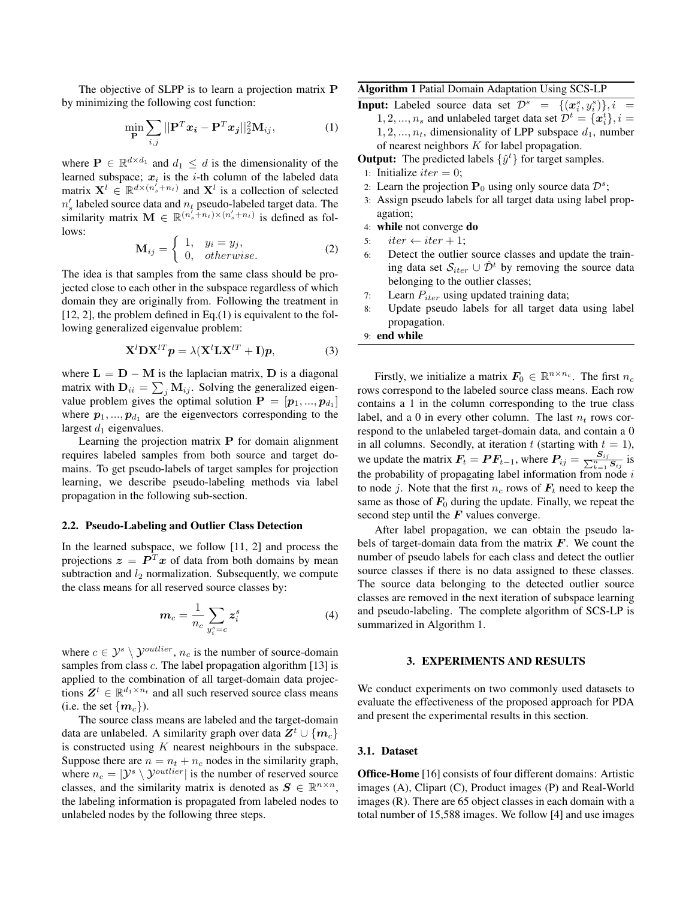The objective of SLPP is to learn a projection matrix **P** by minimizing the following cost function:

$$
\min_{\mathbf{P}} \sum_{i,j} ||\mathbf{P}^T \mathbf{x}_i - \mathbf{P}^T \mathbf{x}_j||_2^2 \mathbf{M}_{ij},
$$
\n(1)

where  $P \in \mathbb{R}^{d \times d_1}$  and  $d_1 \leq d$  is the dimensionality of the learned subspace;  $x_i$  is the *i*-th column of the labeled data matrix  $X^l \in \mathbb{R}^{d \times (n'_s + n_t)}$  and  $X^l$  is a collection of selected  $n'_s$  labeled source data and  $n_t$  pseudo-labeled target data. The similarity matrix  $\mathbf{M} \in \mathbb{R}^{(n_s^j + n_t) \times (n_s^j + n_t)}$  is defined as follows:

$$
\mathbf{M}_{ij} = \begin{cases} 1, & y_i = y_j, \\ 0, & otherwise. \end{cases} \tag{2}
$$

The idea is that samples from the same class should be projected close to each other in the subspace regardless of which domain they are originally from. Following the treatment in  $[12, 2]$ , the problem defined in Eq. $(1)$  is equivalent to the following generalized eigenvalue problem:

$$
\mathbf{X}^{l} \mathbf{D} \mathbf{X}^{l} \mathbf{P} = \lambda (\mathbf{X}^{l} \mathbf{L} \mathbf{X}^{l} + \mathbf{I}) \mathbf{p}, \tag{3}
$$

where  $L = D - M$  is the laplacian matrix, D is a diagonal matrix with  $D_{ii} = \sum_j M_{ij}$ . Solving the generalized eigenvalue problem gives the optimal solution  $P = [p_1, ..., p_{d_1}]$ where  $p_1, ..., p_{d_1}$  are the eigenvectors corresponding to the largest  $d_1$  eigenvalues.

Learning the projection matrix P for domain alignment requires labeled samples from both source and target domains. To get pseudo-labels of target samples for projection learning, we describe pseudo-labeling methods via label propagation in the following sub-section.

## 2.2. Pseudo-Labeling and Outlier Class Detection

In the learned subspace, we follow [11, 2] and process the projections  $\boldsymbol{z} = \boldsymbol{P}^T \boldsymbol{x}$  of data from both domains by mean subtraction and  $l_2$  normalization. Subsequently, we compute the class means for all reserved source classes by:

$$
\boldsymbol{m}_c = \frac{1}{n_c} \sum_{\boldsymbol{y}_i^s = c} \boldsymbol{z}_i^s \tag{4}
$$

where  $c \in \mathcal{Y}^s \setminus \mathcal{Y}^{\text{outlier}}$ ,  $n_c$  is the number of source-domain samples from class c. The label propagation algorithm [13] is applied to the combination of all target-domain data projections  $\mathbf{Z}^t \in \mathbb{R}^{d_1 \times n_t}$  and all such reserved source class means (i.e. the set  $\{m_c\}$ ).

The source class means are labeled and the target-domain data are unlabeled. A similarity graph over data  $\mathbb{Z}^t \cup \{m_c\}$ is constructed using  $K$  nearest neighbours in the subspace. Suppose there are  $n = n_t + n_c$  nodes in the similarity graph, where  $n_c = |\mathcal{Y}^s \setminus \mathcal{Y}^{outlier}|$  is the number of reserved source classes, and the similarity matrix is denoted as  $S \in \mathbb{R}^{n \times n}$ , the labeling information is propagated from labeled nodes to unlabeled nodes by the following three steps.

# Algorithm 1 Patial Domain Adaptation Using SCS-LP

**Input:** Labeled source data set  $\mathcal{D}^s = \{(\boldsymbol{x}_i^s, y_i^s)\}, i =$  $1, 2, ..., n_s$  and unlabeled target data set  $\mathcal{D}^t = \{ \boldsymbol{x}_i^t \}, i =$  $1, 2, \ldots, n_t$ , dimensionality of LPP subspace  $d_1$ , number of nearest neighbors K for label propagation.

**Output:** The predicted labels  $\{\hat{y}^t\}$  for target samples.

- 1: Initialize *iter* = 0;
- 2: Learn the projection  $P_0$  using only source data  $\mathcal{D}^s$ ;
- 3: Assign pseudo labels for all target data using label propagation;
- 4: while not converge do
- 5: iter  $\leftarrow$  iter  $+1$ ;
- 6: Detect the outlier source classes and update the training data set  $S_{iter} \cup \hat{\mathcal{D}}^t$  by removing the source data belonging to the outlier classes;
- 7: Learn  $P_{iter}$  using updated training data;
- 8: Update pseudo labels for all target data using label propagation.

## 9: end while

Firstly, we initialize a matrix  $F_0 \in \mathbb{R}^{n \times n_c}$ . The first  $n_c$ rows correspond to the labeled source class means. Each row contains a 1 in the column corresponding to the true class label, and a 0 in every other column. The last  $n_t$  rows correspond to the unlabeled target-domain data, and contain a 0 in all columns. Secondly, at iteration t (starting with  $t = 1$ ), we update the matrix  $\mathbf{F}_t = \mathbf{P} \mathbf{F}_{t-1}$ , where  $\mathbf{P}_{ij} = \frac{\mathbf{S}_{ij}}{\sum_{k=1}^{n} \mathbf{S}_{ij}}$  is the probability of propagating label information from node  $i$ to node j. Note that the first  $n_c$  rows of  $\mathbf{F}_t$  need to keep the same as those of  $F_0$  during the update. Finally, we repeat the second step until the  $F$  values converge.

After label propagation, we can obtain the pseudo labels of target-domain data from the matrix  $\boldsymbol{F}$ . We count the number of pseudo labels for each class and detect the outlier source classes if there is no data assigned to these classes. The source data belonging to the detected outlier source classes are removed in the next iteration of subspace learning and pseudo-labeling. The complete algorithm of SCS-LP is summarized in Algorithm 1.

#### 3. EXPERIMENTS AND RESULTS

We conduct experiments on two commonly used datasets to evaluate the effectiveness of the proposed approach for PDA and present the experimental results in this section.

#### 3.1. Dataset

Office-Home [16] consists of four different domains: Artistic images (A), Clipart (C), Product images (P) and Real-World images (R). There are 65 object classes in each domain with a total number of 15,588 images. We follow [4] and use images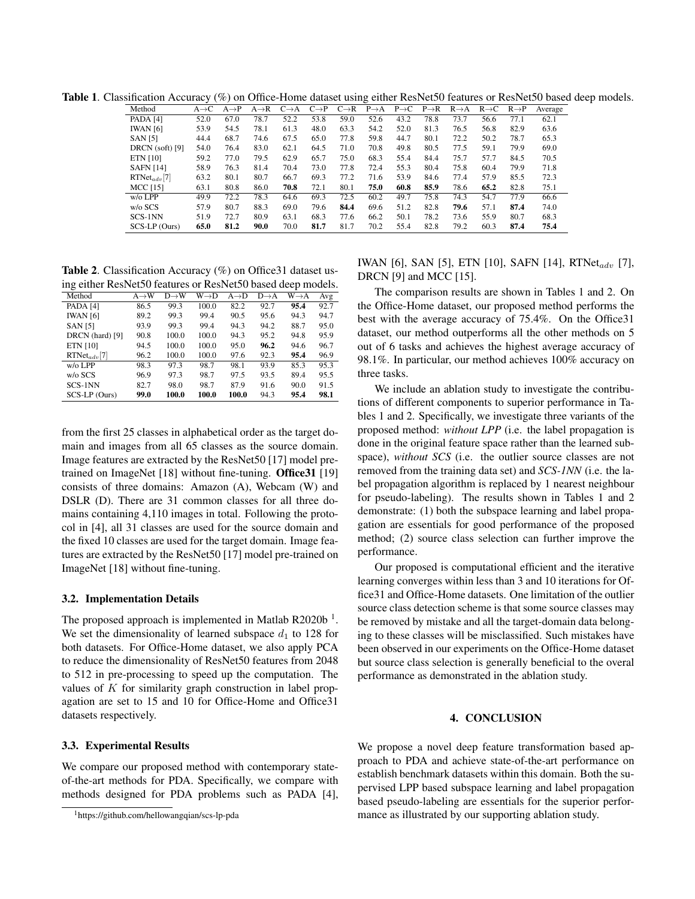Table 1. Classification Accuracy (%) on Office-Home dataset using either ResNet50 features or ResNet50 based deep models.

|  | Method            | $A \rightarrow C$ | $A \rightarrow P$ | $A \rightarrow R$ | $C \rightarrow A$ | $C\rightarrow P$ | $C\rightarrow R$ | $P \rightarrow A$ | $P \rightarrow C$ | $P\rightarrow R$ | $R \rightarrow A$ | $R \rightarrow C$ | $R \rightarrow P$ | Average |
|--|-------------------|-------------------|-------------------|-------------------|-------------------|------------------|------------------|-------------------|-------------------|------------------|-------------------|-------------------|-------------------|---------|
|  |                   |                   |                   |                   |                   |                  |                  |                   |                   |                  |                   |                   |                   |         |
|  | PADA [4]          | 52.0              | 67.0              | 78.7              | 52.2              | 53.8             | 59.0             | 52.6              | 43.2              | 78.8             | 73.7              | 56.6              | 77.1              | 62.1    |
|  | <b>IWAN</b> [6]   | 53.9              | 54.5              | 78.1              | 61.3              | 48.0             | 63.3             | 54.2              | 52.0              | 81.3             | 76.5              | 56.8              | 82.9              | 63.6    |
|  | <b>SAN [5]</b>    | 44.4              | 68.7              | 74.6              | 67.5              | 65.0             | 77.8             | 59.8              | 44.7              | 80.1             | 72.2              | 50.2              | 78.7              | 65.3    |
|  | $DRCN$ (soft) [9] | 54.0              | 76.4              | 83.0              | 62.1              | 64.5             | 71.0             | 70.8              | 49.8              | 80.5             | 77.5              | 59.1              | 79.9              | 69.0    |
|  | <b>ETN</b> [10]   | 59.2              | 77.0              | 79.5              | 62.9              | 65.7             | 75.0             | 68.3              | 55.4              | 84.4             | 75.7              | 57.7              | 84.5              | 70.5    |
|  | <b>SAFN</b> [14]  | 58.9              | 76.3              | 81.4              | 70.4              | 73.0             | 77.8             | 72.4              | 55.3              | 80.4             | 75.8              | 60.4              | 79.9              | 71.8    |
|  | $RTNet_{adv}[7]$  | 63.2              | 80.1              | 80.7              | 66.7              | 69.3             | 77.2             | 71.6              | 53.9              | 84.6             | 77.4              | 57.9              | 85.5              | 72.3    |
|  | <b>MCC</b> [15]   | 63.1              | 80.8              | 86.0              | 70.8              | 72.1             | 80.1             | 75.0              | 60.8              | 85.9             | 78.6              | 65.2              | 82.8              | 75.1    |
|  | $w/o$ LPP         | 49.9              | 72.2              | 78.3              | 64.6              | 69.3             | 72.5             | 60.2              | 49.7              | 75.8             | 74.3              | 54.7              | 77.9              | 66.6    |
|  | w/o SCS           | 57.9              | 80.7              | 88.3              | 69.0              | 79.6             | 84.4             | 69.6              | 51.2              | 82.8             | 79.6              | 57.1              | 87.4              | 74.0    |
|  | SCS-1NN           | 51.9              | 72.7              | 80.9              | 63.1              | 68.3             | 77.6             | 66.2              | 50.1              | 78.2             | 73.6              | 55.9              | 80.7              | 68.3    |
|  | SCS-LP (Ours)     | 65.0              | 81.2              | 90.0              | 70.0              | 81.7             | 81.7             | 70.2              | 55.4              | 82.8             | 79.2              | 60.3              | 87.4              | 75.4    |
|  |                   |                   |                   |                   |                   |                  |                  |                   |                   |                  |                   |                   |                   |         |

Table 2. Classification Accuracy (%) on Office31 dataset using either ResNet50 features or ResNet50 based deep models.

| Method           | $A \rightarrow W$ | $D \rightarrow W$ | $W \rightarrow D$ | $A \rightarrow D$ | $D \rightarrow A$ | $W{\rightarrow}A$ | Avg  |
|------------------|-------------------|-------------------|-------------------|-------------------|-------------------|-------------------|------|
| <b>PADA</b> [4]  | 86.5              | 99.3              | 100.0             | 82.2              | 92.7              | 95.4              | 92.7 |
| <b>IWAN</b> [6]  | 89.2              | 99.3              | 99.4              | 90.5              | 95.6              | 94.3              | 94.7 |
| <b>SAN</b> [5]   | 93.9              | 99.3              | 99.4              | 94.3              | 94.2              | 88.7              | 95.0 |
| DRCN (hard) [9]  | 90.8              | 100.0             | 100.0             | 94.3              | 95.2              | 94.8              | 95.9 |
| ETN [10]         | 94.5              | 100.0             | 100.0             | 95.0              | 96.2              | 94.6              | 96.7 |
| $RTNet_{adv}[7]$ | 96.2              | 100.0             | 100.0             | 97.6              | 92.3              | 95.4              | 96.9 |
| $w$ /o $LPP$     | 98.3              | 97.3              | 98.7              | 98.1              | 93.9              | 85.3              | 95.3 |
| w/o SCS          | 96.9              | 97.3              | 98.7              | 97.5              | 93.5              | 89.4              | 95.5 |
| SCS-1NN          | 82.7              | 98.0              | 98.7              | 87.9              | 91.6              | 90.0              | 91.5 |
| SCS-LP (Ours)    | 99.0              | 100.0             | 100.0             | 100.0             | 94.3              | 95.4              | 98.1 |

from the first 25 classes in alphabetical order as the target domain and images from all 65 classes as the source domain. Image features are extracted by the ResNet50 [17] model pretrained on ImageNet [18] without fine-tuning. Office31 [19] consists of three domains: Amazon (A), Webcam (W) and DSLR (D). There are 31 common classes for all three domains containing 4,110 images in total. Following the protocol in [4], all 31 classes are used for the source domain and the fixed 10 classes are used for the target domain. Image features are extracted by the ResNet50 [17] model pre-trained on ImageNet [18] without fine-tuning.

# 3.2. Implementation Details

The proposed approach is implemented in Matlab R2020b<sup>1</sup>. We set the dimensionality of learned subspace  $d_1$  to 128 for both datasets. For Office-Home dataset, we also apply PCA to reduce the dimensionality of ResNet50 features from 2048 to 512 in pre-processing to speed up the computation. The values of  $K$  for similarity graph construction in label propagation are set to 15 and 10 for Office-Home and Office31 datasets respectively.

# 3.3. Experimental Results

We compare our proposed method with contemporary stateof-the-art methods for PDA. Specifically, we compare with methods designed for PDA problems such as PADA [4], IWAN [6], SAN [5], ETN [10], SAFN [14], RTNet<sub>adv</sub> [7], DRCN [9] and MCC [15].

The comparison results are shown in Tables 1 and 2. On the Office-Home dataset, our proposed method performs the best with the average accuracy of 75.4%. On the Office31 dataset, our method outperforms all the other methods on 5 out of 6 tasks and achieves the highest average accuracy of 98.1%. In particular, our method achieves 100% accuracy on three tasks.

We include an ablation study to investigate the contributions of different components to superior performance in Tables 1 and 2. Specifically, we investigate three variants of the proposed method: *without LPP* (i.e. the label propagation is done in the original feature space rather than the learned subspace), *without SCS* (i.e. the outlier source classes are not removed from the training data set) and *SCS-1NN* (i.e. the label propagation algorithm is replaced by 1 nearest neighbour for pseudo-labeling). The results shown in Tables 1 and 2 demonstrate: (1) both the subspace learning and label propagation are essentials for good performance of the proposed method; (2) source class selection can further improve the performance.

Our proposed is computational efficient and the iterative learning converges within less than 3 and 10 iterations for Office31 and Office-Home datasets. One limitation of the outlier source class detection scheme is that some source classes may be removed by mistake and all the target-domain data belonging to these classes will be misclassified. Such mistakes have been observed in our experiments on the Office-Home dataset but source class selection is generally beneficial to the overal performance as demonstrated in the ablation study.

## 4. CONCLUSION

We propose a novel deep feature transformation based approach to PDA and achieve state-of-the-art performance on establish benchmark datasets within this domain. Both the supervised LPP based subspace learning and label propagation based pseudo-labeling are essentials for the superior performance as illustrated by our supporting ablation study.

<sup>1</sup>https://github.com/hellowangqian/scs-lp-pda